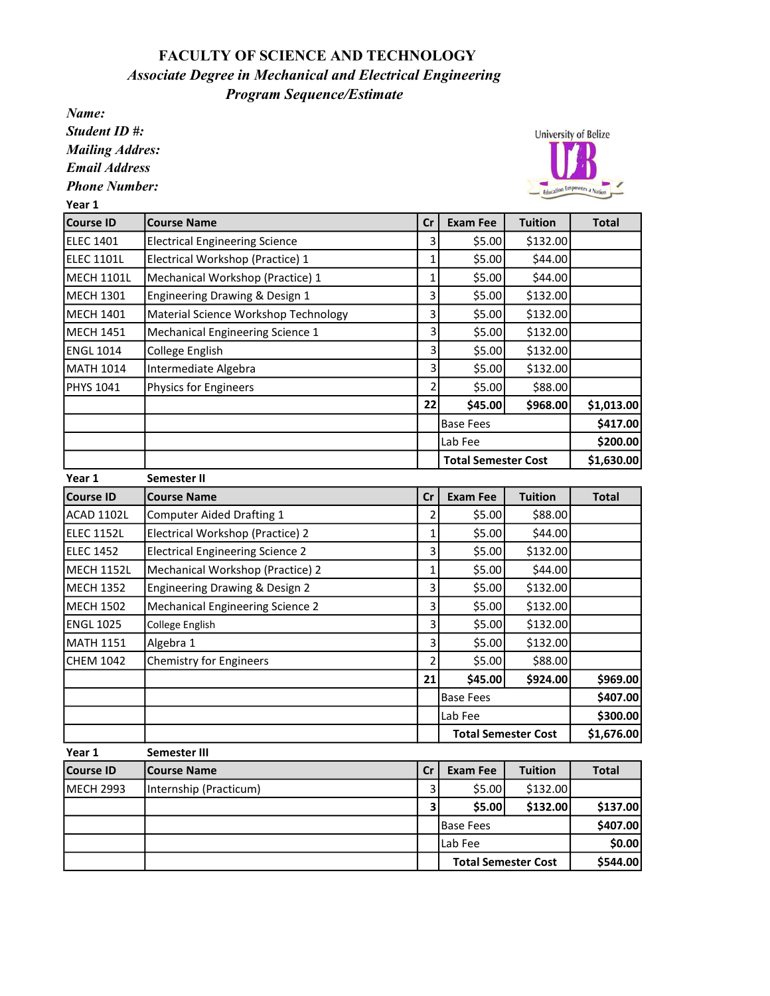## FACULTY OF SCIENCE AND TECHNOLOGY Program Sequence/Estimate Associate Degree in Mechanical and Electrical Engineering

Name:

Student ID #: Mailing Addres:

Email Address

Phone Number:<br>
Yogy 1

**University of Belize** Education Empowers a Nation

\$544.00

Total Semester Cost

| Year 1            |                                         |                         |                            |                |              |
|-------------------|-----------------------------------------|-------------------------|----------------------------|----------------|--------------|
| <b>Course ID</b>  | <b>Course Name</b>                      | cr                      | <b>Exam Fee</b>            | <b>Tuition</b> | <b>Total</b> |
| <b>ELEC 1401</b>  | <b>Electrical Engineering Science</b>   | $\overline{\mathbf{3}}$ | \$5.00                     | \$132.00       |              |
| <b>ELEC 1101L</b> | Electrical Workshop (Practice) 1        | $\mathbf 1$             | \$5.00                     | \$44.00        |              |
| <b>MECH 1101L</b> | Mechanical Workshop (Practice) 1        | $\mathbf 1$             | \$5.00                     | \$44.00        |              |
| <b>MECH 1301</b>  | Engineering Drawing & Design 1          | 3                       | \$5.00                     | \$132.00       |              |
| <b>MECH 1401</b>  | Material Science Workshop Technology    | 3                       | \$5.00                     | \$132.00       |              |
| <b>MECH 1451</b>  | Mechanical Engineering Science 1        | 3                       | \$5.00                     | \$132.00       |              |
| <b>ENGL 1014</b>  | College English                         | 3                       | \$5.00                     | \$132.00       |              |
| <b>MATH 1014</b>  | Intermediate Algebra                    | 3                       | \$5.00                     | \$132.00       |              |
| <b>PHYS 1041</b>  | <b>Physics for Engineers</b>            | $\overline{2}$          | \$5.00                     | \$88.00        |              |
|                   |                                         | 22                      | \$45.00                    | \$968.00       | \$1,013.00   |
|                   |                                         |                         | <b>Base Fees</b>           | \$417.00       |              |
|                   |                                         |                         | Lab Fee                    |                | \$200.00     |
|                   |                                         |                         | <b>Total Semester Cost</b> |                | \$1,630.00   |
| Year 1            | Semester II                             |                         |                            |                |              |
| <b>Course ID</b>  | <b>Course Name</b>                      | cr                      | <b>Exam Fee</b>            | <b>Tuition</b> | <b>Total</b> |
| <b>ACAD 1102L</b> | <b>Computer Aided Drafting 1</b>        | $\overline{2}$          | \$5.00                     | \$88.00        |              |
| <b>ELEC 1152L</b> | Electrical Workshop (Practice) 2        | 1                       | \$5.00                     | \$44.00        |              |
| <b>ELEC 1452</b>  | <b>Electrical Engineering Science 2</b> | 3                       | \$5.00                     | \$132.00       |              |
| <b>MECH 1152L</b> | Mechanical Workshop (Practice) 2        | $\mathbf 1$             | \$5.00                     | \$44.00        |              |
| <b>MECH 1352</b>  | Engineering Drawing & Design 2          | 3                       | \$5.00                     | \$132.00       |              |
| <b>MECH 1502</b>  | <b>Mechanical Engineering Science 2</b> | 3                       | \$5.00                     | \$132.00       |              |
| <b>ENGL 1025</b>  | College English                         | 3                       | \$5.00                     | \$132.00       |              |
| <b>MATH 1151</b>  | Algebra 1                               | 3                       | \$5.00                     | \$132.00       |              |
| <b>CHEM 1042</b>  | <b>Chemistry for Engineers</b>          | $\overline{2}$          | \$5.00                     | \$88.00        |              |
|                   |                                         | 21                      | \$45.00                    | \$924.00       | \$969.00     |
|                   |                                         |                         | <b>Base Fees</b>           | \$407.00       |              |
|                   |                                         |                         | Lab Fee                    |                | \$300.00     |
|                   |                                         |                         | <b>Total Semester Cost</b> |                | \$1,676.00   |
| Year 1            | Semester III                            |                         |                            |                |              |
| <b>Course ID</b>  | <b>Course Name</b>                      | cr                      | <b>Exam Fee</b>            | <b>Tuition</b> | <b>Total</b> |
| <b>MECH 2993</b>  | Internship (Practicum)                  | $\overline{3}$          | \$5.00                     | \$132.00       |              |
|                   |                                         | 3                       | \$5.00                     | \$132.00       | \$137.00     |
|                   |                                         |                         | <b>Base Fees</b>           |                | \$407.00     |
|                   |                                         |                         | Lab Fee                    |                | \$0.00       |